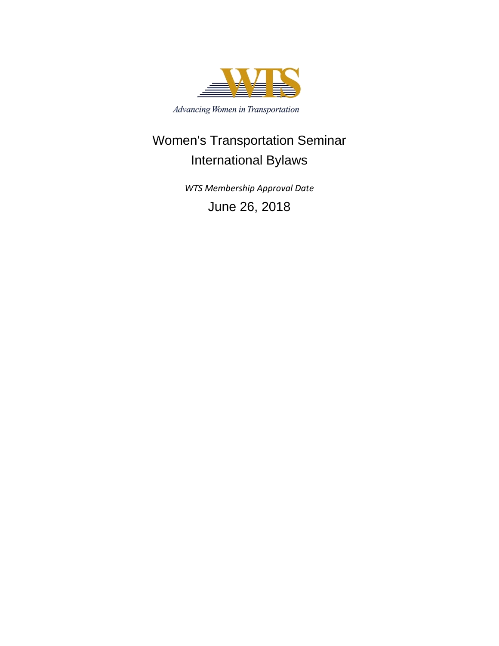

Advancing Women in Transportation

# Women's Transportation Seminar International Bylaws

*WTS Membership Approval Date* June 26, 2018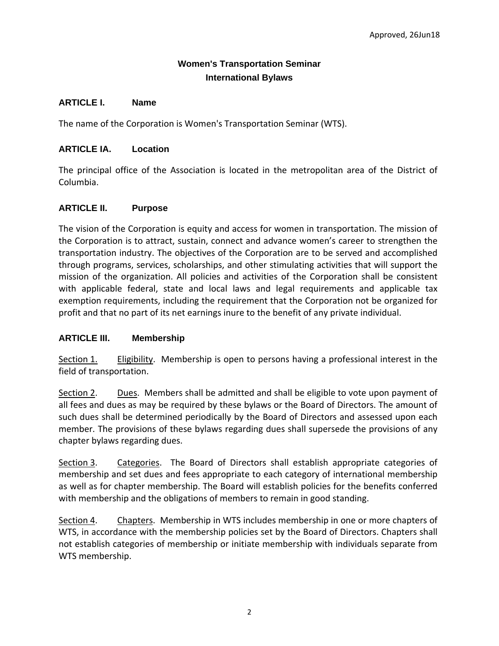# **Women's Transportation Seminar International Bylaws**

# **ARTICLE I. Name**

The name of the Corporation is Women's Transportation Seminar (WTS).

# **ARTICLE IA. Location**

The principal office of the Association is located in the metropolitan area of the District of Columbia.

# **ARTICLE II. Purpose**

The vision of the Corporation is equity and access for women in transportation. The mission of the Corporation is to attract, sustain, connect and advance women's career to strengthen the transportation industry. The objectives of the Corporation are to be served and accomplished through programs, services, scholarships, and other stimulating activities that will support the mission of the organization. All policies and activities of the Corporation shall be consistent with applicable federal, state and local laws and legal requirements and applicable tax exemption requirements, including the requirement that the Corporation not be organized for profit and that no part of its net earnings inure to the benefit of any private individual.

# **ARTICLE III. Membership**

Section 1. Eligibility. Membership is open to persons having a professional interest in the field of transportation.

Section 2. Dues. Members shall be admitted and shall be eligible to vote upon payment of all fees and dues as may be required by these bylaws or the Board of Directors. The amount of such dues shall be determined periodically by the Board of Directors and assessed upon each member. The provisions of these bylaws regarding dues shall supersede the provisions of any chapter bylaws regarding dues.

Section 3. Categories. The Board of Directors shall establish appropriate categories of membership and set dues and fees appropriate to each category of international membership as well as for chapter membership. The Board will establish policies for the benefits conferred with membership and the obligations of members to remain in good standing.

Section 4. Chapters. Membership in WTS includes membership in one or more chapters of WTS, in accordance with the membership policies set by the Board of Directors. Chapters shall not establish categories of membership or initiate membership with individuals separate from WTS membership.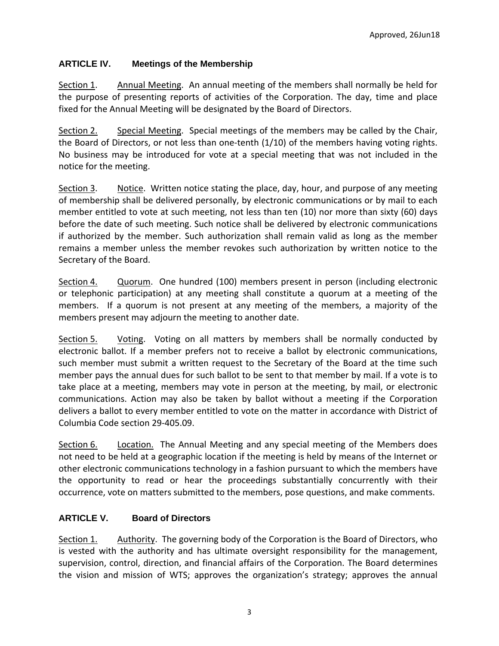# **ARTICLE IV. Meetings of the Membership**

Section 1. Annual Meeting. An annual meeting of the members shall normally be held for the purpose of presenting reports of activities of the Corporation. The day, time and place fixed for the Annual Meeting will be designated by the Board of Directors.

Section 2. Special Meeting. Special meetings of the members may be called by the Chair, the Board of Directors, or not less than one-tenth (1/10) of the members having voting rights. No business may be introduced for vote at a special meeting that was not included in the notice for the meeting.

Section 3. Notice. Written notice stating the place, day, hour, and purpose of any meeting of membership shall be delivered personally, by electronic communications or by mail to each member entitled to vote at such meeting, not less than ten (10) nor more than sixty (60) days before the date of such meeting. Such notice shall be delivered by electronic communications if authorized by the member. Such authorization shall remain valid as long as the member remains a member unless the member revokes such authorization by written notice to the Secretary of the Board.

Section 4. Quorum. One hundred (100) members present in person (including electronic or telephonic participation) at any meeting shall constitute a quorum at a meeting of the members. If a quorum is not present at any meeting of the members, a majority of the members present may adjourn the meeting to another date.

Section 5. Voting. Voting on all matters by members shall be normally conducted by electronic ballot. If a member prefers not to receive a ballot by electronic communications, such member must submit a written request to the Secretary of the Board at the time such member pays the annual dues for such ballot to be sent to that member by mail. If a vote is to take place at a meeting, members may vote in person at the meeting, by mail, or electronic communications. Action may also be taken by ballot without a meeting if the Corporation delivers a ballot to every member entitled to vote on the matter in accordance with District of Columbia Code section 29-405.09.

Section 6. Location. The Annual Meeting and any special meeting of the Members does not need to be held at a geographic location if the meeting is held by means of the Internet or other electronic communications technology in a fashion pursuant to which the members have the opportunity to read or hear the proceedings substantially concurrently with their occurrence, vote on matters submitted to the members, pose questions, and make comments.

#### **ARTICLE V. Board of Directors**

Section 1. Authority. The governing body of the Corporation is the Board of Directors, who is vested with the authority and has ultimate oversight responsibility for the management, supervision, control, direction, and financial affairs of the Corporation. The Board determines the vision and mission of WTS; approves the organization's strategy; approves the annual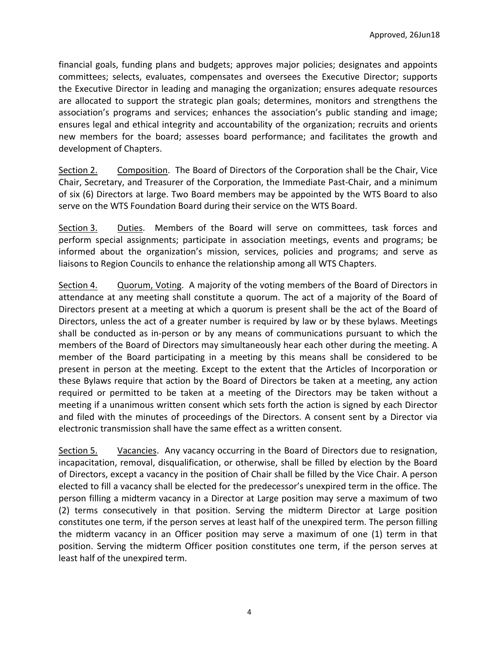financial goals, funding plans and budgets; approves major policies; designates and appoints committees; selects, evaluates, compensates and oversees the Executive Director; supports the Executive Director in leading and managing the organization; ensures adequate resources are allocated to support the strategic plan goals; determines, monitors and strengthens the association's programs and services; enhances the association's public standing and image; ensures legal and ethical integrity and accountability of the organization; recruits and orients new members for the board; assesses board performance; and facilitates the growth and development of Chapters.

Section 2. Composition. The Board of Directors of the Corporation shall be the Chair, Vice Chair, Secretary, and Treasurer of the Corporation, the Immediate Past-Chair, and a minimum of six (6) Directors at large. Two Board members may be appointed by the WTS Board to also serve on the WTS Foundation Board during their service on the WTS Board.

Section 3. Duties. Members of the Board will serve on committees, task forces and perform special assignments; participate in association meetings, events and programs; be informed about the organization's mission, services, policies and programs; and serve as liaisons to Region Councils to enhance the relationship among all WTS Chapters.

Section 4. Quorum, Voting. A majority of the voting members of the Board of Directors in attendance at any meeting shall constitute a quorum. The act of a majority of the Board of Directors present at a meeting at which a quorum is present shall be the act of the Board of Directors, unless the act of a greater number is required by law or by these bylaws. Meetings shall be conducted as in-person or by any means of communications pursuant to which the members of the Board of Directors may simultaneously hear each other during the meeting. A member of the Board participating in a meeting by this means shall be considered to be present in person at the meeting. Except to the extent that the Articles of Incorporation or these Bylaws require that action by the Board of Directors be taken at a meeting, any action required or permitted to be taken at a meeting of the Directors may be taken without a meeting if a unanimous written consent which sets forth the action is signed by each Director and filed with the minutes of proceedings of the Directors. A consent sent by a Director via electronic transmission shall have the same effect as a written consent.

Section 5. Vacancies. Any vacancy occurring in the Board of Directors due to resignation, incapacitation, removal, disqualification, or otherwise, shall be filled by election by the Board of Directors, except a vacancy in the position of Chair shall be filled by the Vice Chair. A person elected to fill a vacancy shall be elected for the predecessor's unexpired term in the office. The person filling a midterm vacancy in a Director at Large position may serve a maximum of two (2) terms consecutively in that position. Serving the midterm Director at Large position constitutes one term, if the person serves at least half of the unexpired term. The person filling the midterm vacancy in an Officer position may serve a maximum of one (1) term in that position. Serving the midterm Officer position constitutes one term, if the person serves at least half of the unexpired term.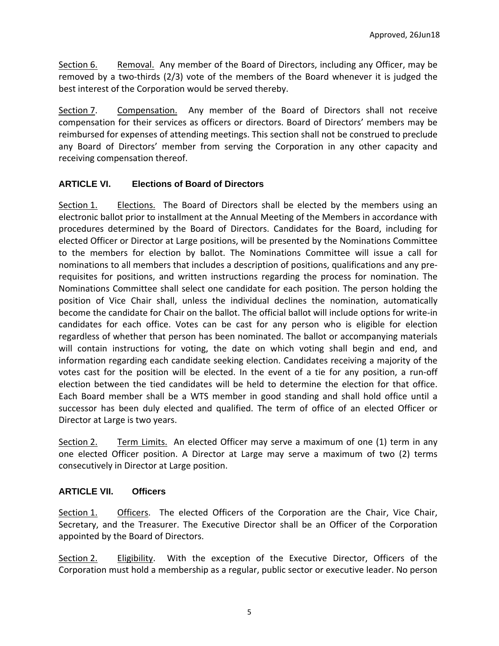Section 6. Removal. Any member of the Board of Directors, including any Officer, may be removed by a two-thirds (2/3) vote of the members of the Board whenever it is judged the best interest of the Corporation would be served thereby.

Section 7. Compensation. Any member of the Board of Directors shall not receive compensation for their services as officers or directors. Board of Directors' members may be reimbursed for expenses of attending meetings. This section shall not be construed to preclude any Board of Directors' member from serving the Corporation in any other capacity and receiving compensation thereof.

# **ARTICLE VI. Elections of Board of Directors**

Section 1. Elections. The Board of Directors shall be elected by the members using an electronic ballot prior to installment at the Annual Meeting of the Members in accordance with procedures determined by the Board of Directors. Candidates for the Board, including for elected Officer or Director at Large positions, will be presented by the Nominations Committee to the members for election by ballot. The Nominations Committee will issue a call for nominations to all members that includes a description of positions, qualifications and any prerequisites for positions, and written instructions regarding the process for nomination. The Nominations Committee shall select one candidate for each position. The person holding the position of Vice Chair shall, unless the individual declines the nomination, automatically become the candidate for Chair on the ballot. The official ballot will include options for write-in candidates for each office. Votes can be cast for any person who is eligible for election regardless of whether that person has been nominated. The ballot or accompanying materials will contain instructions for voting, the date on which voting shall begin and end, and information regarding each candidate seeking election. Candidates receiving a majority of the votes cast for the position will be elected. In the event of a tie for any position, a run-off election between the tied candidates will be held to determine the election for that office. Each Board member shall be a WTS member in good standing and shall hold office until a successor has been duly elected and qualified. The term of office of an elected Officer or Director at Large is two years.

Section 2. Term Limits. An elected Officer may serve a maximum of one (1) term in any one elected Officer position. A Director at Large may serve a maximum of two (2) terms consecutively in Director at Large position.

#### **ARTICLE VII. Officers**

Section 1. Officers. The elected Officers of the Corporation are the Chair, Vice Chair, Secretary, and the Treasurer. The Executive Director shall be an Officer of the Corporation appointed by the Board of Directors.

Section 2. Eligibility. With the exception of the Executive Director, Officers of the Corporation must hold a membership as a regular, public sector or executive leader. No person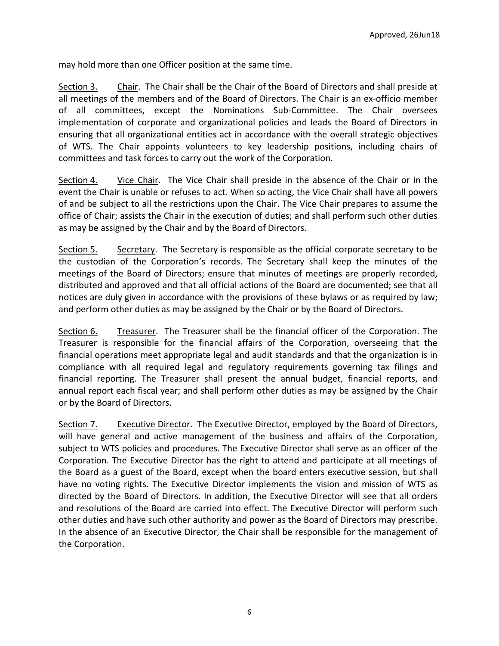may hold more than one Officer position at the same time.

Section 3. Chair. The Chair shall be the Chair of the Board of Directors and shall preside at all meetings of the members and of the Board of Directors. The Chair is an ex-officio member of all committees, except the Nominations Sub-Committee. The Chair oversees implementation of corporate and organizational policies and leads the Board of Directors in ensuring that all organizational entities act in accordance with the overall strategic objectives of WTS. The Chair appoints volunteers to key leadership positions, including chairs of committees and task forces to carry out the work of the Corporation.

Section 4. Vice Chair. The Vice Chair shall preside in the absence of the Chair or in the event the Chair is unable or refuses to act. When so acting, the Vice Chair shall have all powers of and be subject to all the restrictions upon the Chair. The Vice Chair prepares to assume the office of Chair; assists the Chair in the execution of duties; and shall perform such other duties as may be assigned by the Chair and by the Board of Directors.

Section 5. Secretary. The Secretary is responsible as the official corporate secretary to be the custodian of the Corporation's records. The Secretary shall keep the minutes of the meetings of the Board of Directors; ensure that minutes of meetings are properly recorded, distributed and approved and that all official actions of the Board are documented; see that all notices are duly given in accordance with the provisions of these bylaws or as required by law; and perform other duties as may be assigned by the Chair or by the Board of Directors.

Section 6. Treasurer. The Treasurer shall be the financial officer of the Corporation. The Treasurer is responsible for the financial affairs of the Corporation, overseeing that the financial operations meet appropriate legal and audit standards and that the organization is in compliance with all required legal and regulatory requirements governing tax filings and financial reporting. The Treasurer shall present the annual budget, financial reports, and annual report each fiscal year; and shall perform other duties as may be assigned by the Chair or by the Board of Directors.

Section 7. Executive Director. The Executive Director, employed by the Board of Directors, will have general and active management of the business and affairs of the Corporation, subject to WTS policies and procedures. The Executive Director shall serve as an officer of the Corporation. The Executive Director has the right to attend and participate at all meetings of the Board as a guest of the Board, except when the board enters executive session, but shall have no voting rights. The Executive Director implements the vision and mission of WTS as directed by the Board of Directors. In addition, the Executive Director will see that all orders and resolutions of the Board are carried into effect. The Executive Director will perform such other duties and have such other authority and power as the Board of Directors may prescribe. In the absence of an Executive Director, the Chair shall be responsible for the management of the Corporation.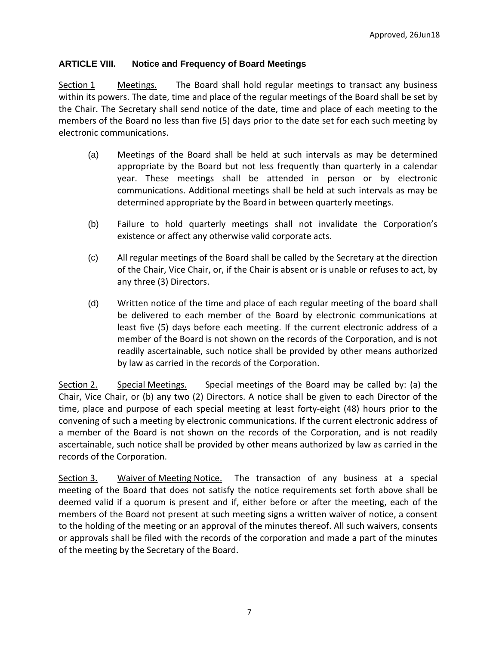### **ARTICLE VIII. Notice and Frequency of Board Meetings**

Section 1 Meetings. The Board shall hold regular meetings to transact any business within its powers. The date, time and place of the regular meetings of the Board shall be set by the Chair. The Secretary shall send notice of the date, time and place of each meeting to the members of the Board no less than five (5) days prior to the date set for each such meeting by electronic communications.

- (a) Meetings of the Board shall be held at such intervals as may be determined appropriate by the Board but not less frequently than quarterly in a calendar year. These meetings shall be attended in person or by electronic communications. Additional meetings shall be held at such intervals as may be determined appropriate by the Board in between quarterly meetings.
- (b) Failure to hold quarterly meetings shall not invalidate the Corporation's existence or affect any otherwise valid corporate acts.
- (c) All regular meetings of the Board shall be called by the Secretary at the direction of the Chair, Vice Chair, or, if the Chair is absent or is unable or refuses to act, by any three (3) Directors.
- (d) Written notice of the time and place of each regular meeting of the board shall be delivered to each member of the Board by electronic communications at least five (5) days before each meeting. If the current electronic address of a member of the Board is not shown on the records of the Corporation, and is not readily ascertainable, such notice shall be provided by other means authorized by law as carried in the records of the Corporation.

Section 2. Special Meetings. Special meetings of the Board may be called by: (a) the Chair, Vice Chair, or (b) any two (2) Directors. A notice shall be given to each Director of the time, place and purpose of each special meeting at least forty-eight (48) hours prior to the convening of such a meeting by electronic communications. If the current electronic address of a member of the Board is not shown on the records of the Corporation, and is not readily ascertainable, such notice shall be provided by other means authorized by law as carried in the records of the Corporation.

Section 3. Waiver of Meeting Notice. The transaction of any business at a special meeting of the Board that does not satisfy the notice requirements set forth above shall be deemed valid if a quorum is present and if, either before or after the meeting, each of the members of the Board not present at such meeting signs a written waiver of notice, a consent to the holding of the meeting or an approval of the minutes thereof. All such waivers, consents or approvals shall be filed with the records of the corporation and made a part of the minutes of the meeting by the Secretary of the Board.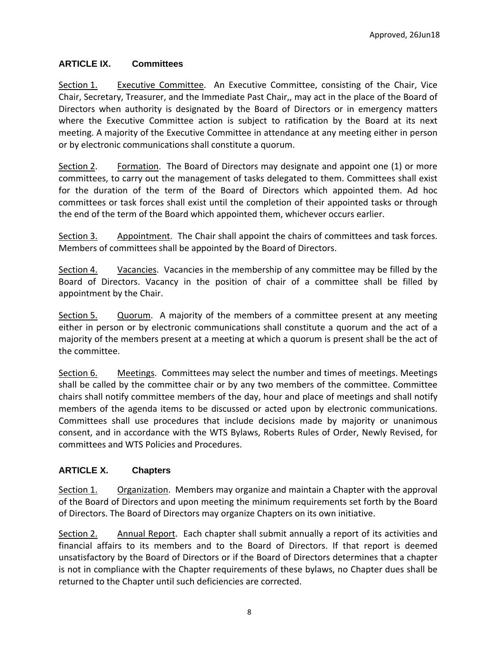# **ARTICLE IX. Committees**

Section 1. Executive Committee. An Executive Committee, consisting of the Chair, Vice Chair, Secretary, Treasurer, and the Immediate Past Chair,, may act in the place of the Board of Directors when authority is designated by the Board of Directors or in emergency matters where the Executive Committee action is subject to ratification by the Board at its next meeting. A majority of the Executive Committee in attendance at any meeting either in person or by electronic communications shall constitute a quorum.

Section 2. Formation. The Board of Directors may designate and appoint one (1) or more committees, to carry out the management of tasks delegated to them. Committees shall exist for the duration of the term of the Board of Directors which appointed them. Ad hoc committees or task forces shall exist until the completion of their appointed tasks or through the end of the term of the Board which appointed them, whichever occurs earlier.

Section 3. Appointment. The Chair shall appoint the chairs of committees and task forces. Members of committees shall be appointed by the Board of Directors.

Section 4. Vacancies. Vacancies in the membership of any committee may be filled by the Board of Directors. Vacancy in the position of chair of a committee shall be filled by appointment by the Chair.

Section 5. Quorum. A majority of the members of a committee present at any meeting either in person or by electronic communications shall constitute a quorum and the act of a majority of the members present at a meeting at which a quorum is present shall be the act of the committee.

Section 6. Meetings. Committees may select the number and times of meetings. Meetings shall be called by the committee chair or by any two members of the committee. Committee chairs shall notify committee members of the day, hour and place of meetings and shall notify members of the agenda items to be discussed or acted upon by electronic communications. Committees shall use procedures that include decisions made by majority or unanimous consent, and in accordance with the WTS Bylaws, Roberts Rules of Order, Newly Revised, for committees and WTS Policies and Procedures.

# **ARTICLE X. Chapters**

Section 1. Organization. Members may organize and maintain a Chapter with the approval of the Board of Directors and upon meeting the minimum requirements set forth by the Board of Directors. The Board of Directors may organize Chapters on its own initiative.

Section 2. Annual Report. Each chapter shall submit annually a report of its activities and financial affairs to its members and to the Board of Directors. If that report is deemed unsatisfactory by the Board of Directors or if the Board of Directors determines that a chapter is not in compliance with the Chapter requirements of these bylaws, no Chapter dues shall be returned to the Chapter until such deficiencies are corrected.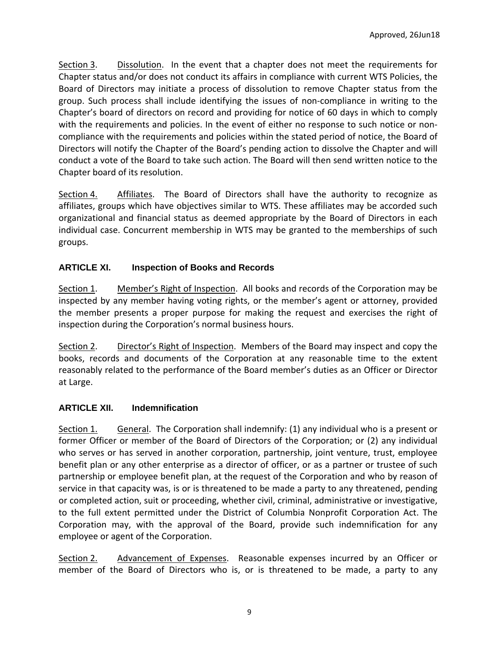Section 3. Dissolution. In the event that a chapter does not meet the requirements for Chapter status and/or does not conduct its affairs in compliance with current WTS Policies, the Board of Directors may initiate a process of dissolution to remove Chapter status from the group. Such process shall include identifying the issues of non-compliance in writing to the Chapter's board of directors on record and providing for notice of 60 days in which to comply with the requirements and policies. In the event of either no response to such notice or noncompliance with the requirements and policies within the stated period of notice, the Board of Directors will notify the Chapter of the Board's pending action to dissolve the Chapter and will conduct a vote of the Board to take such action. The Board will then send written notice to the Chapter board of its resolution.

Section 4. Affiliates. The Board of Directors shall have the authority to recognize as affiliates, groups which have objectives similar to WTS. These affiliates may be accorded such organizational and financial status as deemed appropriate by the Board of Directors in each individual case. Concurrent membership in WTS may be granted to the memberships of such groups.

# **ARTICLE XI. Inspection of Books and Records**

Section 1. Member's Right of Inspection. All books and records of the Corporation may be inspected by any member having voting rights, or the member's agent or attorney, provided the member presents a proper purpose for making the request and exercises the right of inspection during the Corporation's normal business hours.

Section 2. Director's Right of Inspection. Members of the Board may inspect and copy the books, records and documents of the Corporation at any reasonable time to the extent reasonably related to the performance of the Board member's duties as an Officer or Director at Large.

# **ARTICLE XII. Indemnification**

Section 1. General. The Corporation shall indemnify: (1) any individual who is a present or former Officer or member of the Board of Directors of the Corporation; or (2) any individual who serves or has served in another corporation, partnership, joint venture, trust, employee benefit plan or any other enterprise as a director of officer, or as a partner or trustee of such partnership or employee benefit plan, at the request of the Corporation and who by reason of service in that capacity was, is or is threatened to be made a party to any threatened, pending or completed action, suit or proceeding, whether civil, criminal, administrative or investigative, to the full extent permitted under the District of Columbia Nonprofit Corporation Act. The Corporation may, with the approval of the Board, provide such indemnification for any employee or agent of the Corporation.

Section 2. Advancement of Expenses. Reasonable expenses incurred by an Officer or member of the Board of Directors who is, or is threatened to be made, a party to any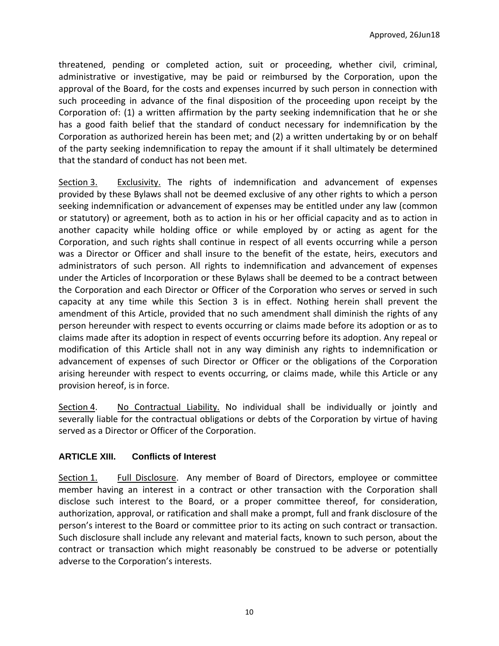threatened, pending or completed action, suit or proceeding, whether civil, criminal, administrative or investigative, may be paid or reimbursed by the Corporation, upon the approval of the Board, for the costs and expenses incurred by such person in connection with such proceeding in advance of the final disposition of the proceeding upon receipt by the Corporation of: (1) a written affirmation by the party seeking indemnification that he or she has a good faith belief that the standard of conduct necessary for indemnification by the Corporation as authorized herein has been met; and (2) a written undertaking by or on behalf of the party seeking indemnification to repay the amount if it shall ultimately be determined that the standard of conduct has not been met.

Section 3. Exclusivity. The rights of indemnification and advancement of expenses provided by these Bylaws shall not be deemed exclusive of any other rights to which a person seeking indemnification or advancement of expenses may be entitled under any law (common or statutory) or agreement, both as to action in his or her official capacity and as to action in another capacity while holding office or while employed by or acting as agent for the Corporation, and such rights shall continue in respect of all events occurring while a person was a Director or Officer and shall insure to the benefit of the estate, heirs, executors and administrators of such person. All rights to indemnification and advancement of expenses under the Articles of Incorporation or these Bylaws shall be deemed to be a contract between the Corporation and each Director or Officer of the Corporation who serves or served in such capacity at any time while this Section 3 is in effect. Nothing herein shall prevent the amendment of this Article, provided that no such amendment shall diminish the rights of any person hereunder with respect to events occurring or claims made before its adoption or as to claims made after its adoption in respect of events occurring before its adoption. Any repeal or modification of this Article shall not in any way diminish any rights to indemnification or advancement of expenses of such Director or Officer or the obligations of the Corporation arising hereunder with respect to events occurring, or claims made, while this Article or any provision hereof, is in force.

Section 4. No Contractual Liability. No individual shall be individually or jointly and severally liable for the contractual obligations or debts of the Corporation by virtue of having served as a Director or Officer of the Corporation.

# **ARTICLE XIII. Conflicts of Interest**

Section 1. Full Disclosure. Any member of Board of Directors, employee or committee member having an interest in a contract or other transaction with the Corporation shall disclose such interest to the Board, or a proper committee thereof, for consideration, authorization, approval, or ratification and shall make a prompt, full and frank disclosure of the person's interest to the Board or committee prior to its acting on such contract or transaction. Such disclosure shall include any relevant and material facts, known to such person, about the contract or transaction which might reasonably be construed to be adverse or potentially adverse to the Corporation's interests.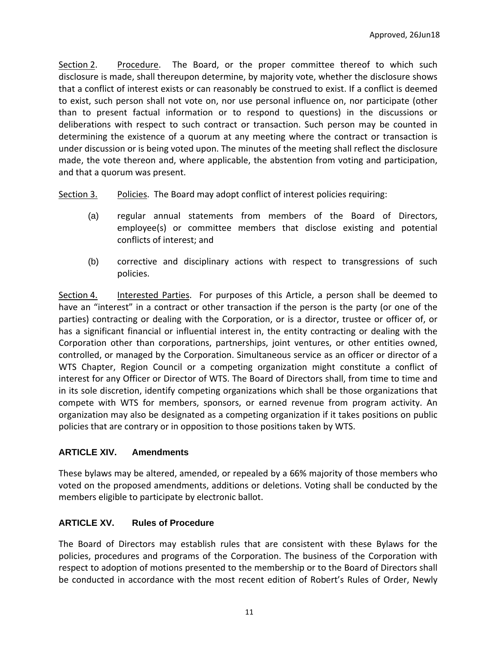Section 2. Procedure. The Board, or the proper committee thereof to which such disclosure is made, shall thereupon determine, by majority vote, whether the disclosure shows that a conflict of interest exists or can reasonably be construed to exist. If a conflict is deemed to exist, such person shall not vote on, nor use personal influence on, nor participate (other than to present factual information or to respond to questions) in the discussions or deliberations with respect to such contract or transaction. Such person may be counted in determining the existence of a quorum at any meeting where the contract or transaction is under discussion or is being voted upon. The minutes of the meeting shall reflect the disclosure made, the vote thereon and, where applicable, the abstention from voting and participation, and that a quorum was present.

Section 3. Policies. The Board may adopt conflict of interest policies requiring:

- (a) regular annual statements from members of the Board of Directors, employee(s) or committee members that disclose existing and potential conflicts of interest; and
- (b) corrective and disciplinary actions with respect to transgressions of such policies.

Section 4. Interested Parties. For purposes of this Article, a person shall be deemed to have an "interest" in a contract or other transaction if the person is the party (or one of the parties) contracting or dealing with the Corporation, or is a director, trustee or officer of, or has a significant financial or influential interest in, the entity contracting or dealing with the Corporation other than corporations, partnerships, joint ventures, or other entities owned, controlled, or managed by the Corporation. Simultaneous service as an officer or director of a WTS Chapter, Region Council or a competing organization might constitute a conflict of interest for any Officer or Director of WTS. The Board of Directors shall, from time to time and in its sole discretion, identify competing organizations which shall be those organizations that compete with WTS for members, sponsors, or earned revenue from program activity. An organization may also be designated as a competing organization if it takes positions on public policies that are contrary or in opposition to those positions taken by WTS.

# **ARTICLE XIV. Amendments**

These bylaws may be altered, amended, or repealed by a 66% majority of those members who voted on the proposed amendments, additions or deletions. Voting shall be conducted by the members eligible to participate by electronic ballot.

# **ARTICLE XV. Rules of Procedure**

The Board of Directors may establish rules that are consistent with these Bylaws for the policies, procedures and programs of the Corporation. The business of the Corporation with respect to adoption of motions presented to the membership or to the Board of Directors shall be conducted in accordance with the most recent edition of Robert's Rules of Order, Newly